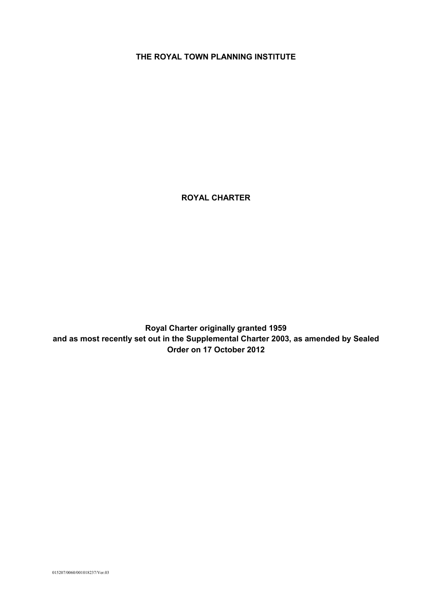# **THE ROYAL TOWN PLANNING INSTITUTE**

**ROYAL CHARTER** 

**Royal Charter originally granted 1959 and as most recently set out in the Supplemental Charter 2003, as amended by Sealed Order on 17 October 2012**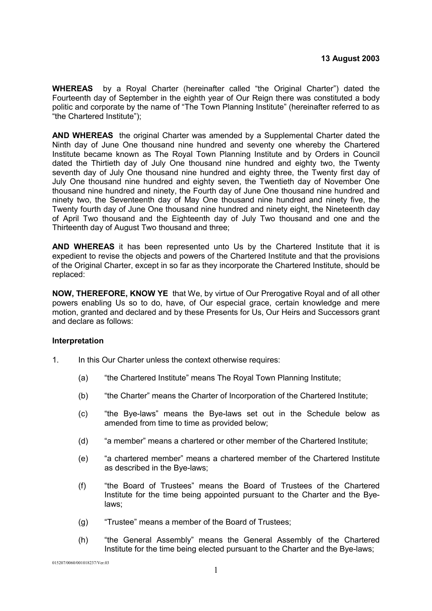**WHEREAS** by a Royal Charter (hereinafter called "the Original Charter") dated the Fourteenth day of September in the eighth year of Our Reign there was constituted a body politic and corporate by the name of "The Town Planning Institute" (hereinafter referred to as "the Chartered Institute");

**AND WHEREAS** the original Charter was amended by a Supplemental Charter dated the Ninth day of June One thousand nine hundred and seventy one whereby the Chartered Institute became known as The Royal Town Planning Institute and by Orders in Council dated the Thirtieth day of July One thousand nine hundred and eighty two, the Twenty seventh day of July One thousand nine hundred and eighty three, the Twenty first day of July One thousand nine hundred and eighty seven, the Twentieth day of November One thousand nine hundred and ninety, the Fourth day of June One thousand nine hundred and ninety two, the Seventeenth day of May One thousand nine hundred and ninety five, the Twenty fourth day of June One thousand nine hundred and ninety eight, the Nineteenth day of April Two thousand and the Eighteenth day of July Two thousand and one and the Thirteenth day of August Two thousand and three;

**AND WHEREAS** it has been represented unto Us by the Chartered Institute that it is expedient to revise the objects and powers of the Chartered Institute and that the provisions of the Original Charter, except in so far as they incorporate the Chartered Institute, should be replaced:

**NOW, THEREFORE, KNOW YE** that We, by virtue of Our Prerogative Royal and of all other powers enabling Us so to do, have, of Our especial grace, certain knowledge and mere motion, granted and declared and by these Presents for Us, Our Heirs and Successors grant and declare as follows:

## **Interpretation**

- 1. In this Our Charter unless the context otherwise requires:
	- (a) "the Chartered Institute" means The Royal Town Planning Institute;
	- (b) "the Charter" means the Charter of Incorporation of the Chartered Institute;
	- (c) "the Bye-laws" means the Bye-laws set out in the Schedule below as amended from time to time as provided below;
	- (d) "a member" means a chartered or other member of the Chartered Institute;
	- (e) "a chartered member" means a chartered member of the Chartered Institute as described in the Bye-laws;
	- (f) "the Board of Trustees" means the Board of Trustees of the Chartered Institute for the time being appointed pursuant to the Charter and the Byelaws;
	- (g) "Trustee" means a member of the Board of Trustees;
	- (h) "the General Assembly" means the General Assembly of the Chartered Institute for the time being elected pursuant to the Charter and the Bye-laws;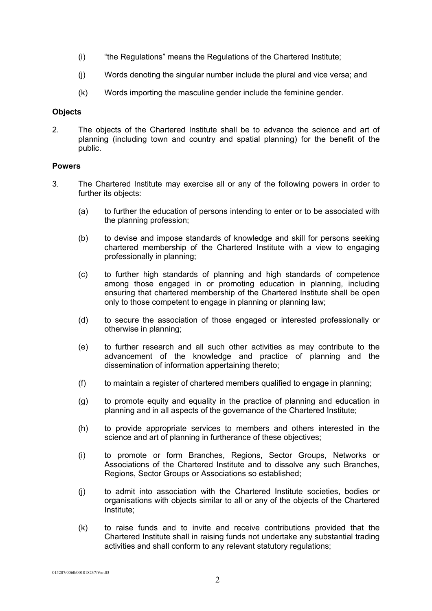- (i) "the Regulations" means the Regulations of the Chartered Institute;
- (j) Words denoting the singular number include the plural and vice versa; and
- (k) Words importing the masculine gender include the feminine gender.

## **Objects**

2. The objects of the Chartered Institute shall be to advance the science and art of planning (including town and country and spatial planning) for the benefit of the public.

## **Powers**

- 3. The Chartered Institute may exercise all or any of the following powers in order to further its objects:
	- (a) to further the education of persons intending to enter or to be associated with the planning profession;
	- (b) to devise and impose standards of knowledge and skill for persons seeking chartered membership of the Chartered Institute with a view to engaging professionally in planning;
	- (c) to further high standards of planning and high standards of competence among those engaged in or promoting education in planning, including ensuring that chartered membership of the Chartered Institute shall be open only to those competent to engage in planning or planning law;
	- (d) to secure the association of those engaged or interested professionally or otherwise in planning;
	- (e) to further research and all such other activities as may contribute to the advancement of the knowledge and practice of planning and the dissemination of information appertaining thereto;
	- (f) to maintain a register of chartered members qualified to engage in planning;
	- (g) to promote equity and equality in the practice of planning and education in planning and in all aspects of the governance of the Chartered Institute;
	- (h) to provide appropriate services to members and others interested in the science and art of planning in furtherance of these objectives;
	- (i) to promote or form Branches, Regions, Sector Groups, Networks or Associations of the Chartered Institute and to dissolve any such Branches, Regions, Sector Groups or Associations so established;
	- (j) to admit into association with the Chartered Institute societies, bodies or organisations with objects similar to all or any of the objects of the Chartered Institute;
	- (k) to raise funds and to invite and receive contributions provided that the Chartered Institute shall in raising funds not undertake any substantial trading activities and shall conform to any relevant statutory regulations;

015207/0060/001018237/Ver.03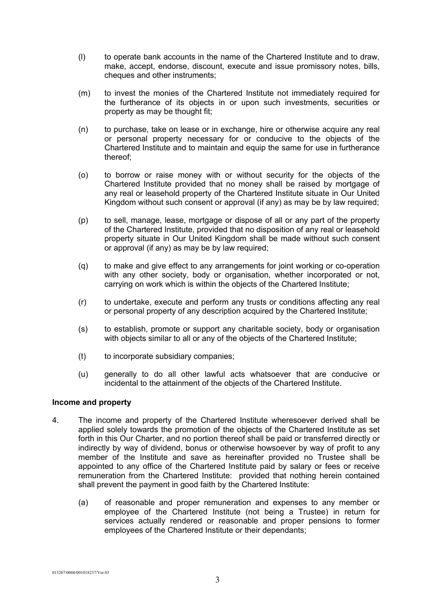- (l) to operate bank accounts in the name of the Chartered Institute and to draw, make, accept, endorse, discount, execute and issue promissory notes, bills, cheques and other instruments;
- (m) to invest the monies of the Chartered Institute not immediately required for the furtherance of its objects in or upon such investments, securities or property as may be thought fit;
- (n) to purchase, take on lease or in exchange, hire or otherwise acquire any real or personal property necessary for or conducive to the objects of the Chartered Institute and to maintain and equip the same for use in furtherance thereof;
- (o) to borrow or raise money with or without security for the objects of the Chartered Institute provided that no money shall be raised by mortgage of any real or leasehold property of the Chartered Institute situate in Our United Kingdom without such consent or approval (if any) as may be by law required;
- (p) to sell, manage, lease, mortgage or dispose of all or any part of the property of the Chartered Institute, provided that no disposition of any real or leasehold property situate in Our United Kingdom shall be made without such consent or approval (if any) as may be by law required;
- (q) to make and give effect to any arrangements for joint working or co-operation with any other society, body or organisation, whether incorporated or not. carrying on work which is within the objects of the Chartered Institute;
- (r) to undertake, execute and perform any trusts or conditions affecting any real or personal property of any description acquired by the Chartered Institute;
- (s) to establish, promote or support any charitable society, body or organisation with objects similar to all or any of the objects of the Chartered Institute;
- (t) to incorporate subsidiary companies;
- (u) generally to do all other lawful acts whatsoever that are conducive or incidental to the attainment of the objects of the Chartered Institute.

## **Income and property**

- 4. The income and property of the Chartered Institute wheresoever derived shall be applied solely towards the promotion of the objects of the Chartered Institute as set forth in this Our Charter, and no portion thereof shall be paid or transferred directly or indirectly by way of dividend, bonus or otherwise howsoever by way of profit to any member of the Institute and save as hereinafter provided no Trustee shall be appointed to any office of the Chartered Institute paid by salary or fees or receive remuneration from the Chartered Institute: provided that nothing herein contained shall prevent the payment in good faith by the Chartered Institute:
	- (a) of reasonable and proper remuneration and expenses to any member or employee of the Chartered Institute (not being a Trustee) in return for services actually rendered or reasonable and proper pensions to former employees of the Chartered Institute or their dependants;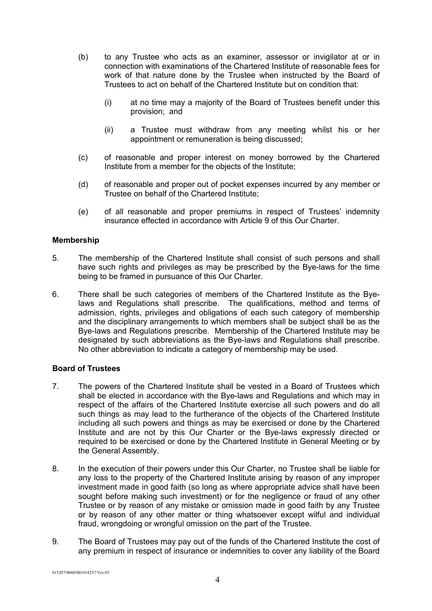- (b) to any Trustee who acts as an examiner, assessor or invigilator at or in connection with examinations of the Chartered Institute of reasonable fees for work of that nature done by the Trustee when instructed by the Board of Trustees to act on behalf of the Chartered Institute but on condition that:
	- (i) at no time may a majority of the Board of Trustees benefit under this provision; and
	- (ii) a Trustee must withdraw from any meeting whilst his or her appointment or remuneration is being discussed;
- (c) of reasonable and proper interest on money borrowed by the Chartered Institute from a member for the objects of the Institute;
- (d) of reasonable and proper out of pocket expenses incurred by any member or Trustee on behalf of the Chartered Institute;
- (e) of all reasonable and proper premiums in respect of Trustees' indemnity insurance effected in accordance with Article 9 of this Our Charter.

# **Membership**

- 5. The membership of the Chartered Institute shall consist of such persons and shall have such rights and privileges as may be prescribed by the Bye-laws for the time being to be framed in pursuance of this Our Charter.
- 6. There shall be such categories of members of the Chartered Institute as the Byelaws and Regulations shall prescribe. The qualifications, method and terms of admission, rights, privileges and obligations of each such category of membership and the disciplinary arrangements to which members shall be subject shall be as the Bye-laws and Regulations prescribe. Membership of the Chartered Institute may be designated by such abbreviations as the Bye-laws and Regulations shall prescribe. No other abbreviation to indicate a category of membership may be used.

# **Board of Trustees**

- 7. The powers of the Chartered Institute shall be vested in a Board of Trustees which shall be elected in accordance with the Bye-laws and Regulations and which may in respect of the affairs of the Chartered Institute exercise all such powers and do all such things as may lead to the furtherance of the objects of the Chartered Institute including all such powers and things as may be exercised or done by the Chartered Institute and are not by this Our Charter or the Bye-laws expressly directed or required to be exercised or done by the Chartered Institute in General Meeting or by the General Assembly.
- 8. In the execution of their powers under this Our Charter, no Trustee shall be liable for any loss to the property of the Chartered Institute arising by reason of any improper investment made in good faith (so long as where appropriate advice shall have been sought before making such investment) or for the negligence or fraud of any other Trustee or by reason of any mistake or omission made in good faith by any Trustee or by reason of any other matter or thing whatsoever except wilful and individual fraud, wrongdoing or wrongful omission on the part of the Trustee.
- 9. The Board of Trustees may pay out of the funds of the Chartered Institute the cost of any premium in respect of insurance or indemnities to cover any liability of the Board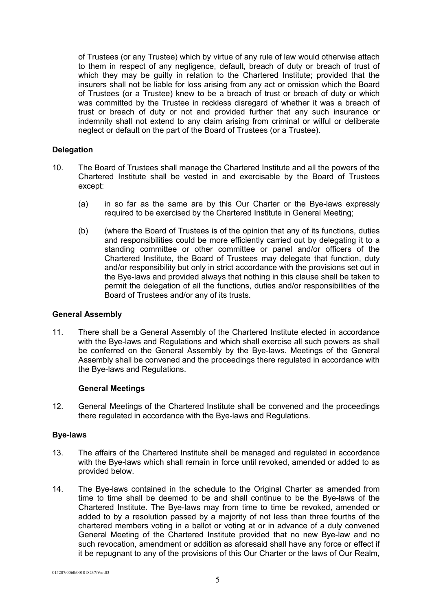of Trustees (or any Trustee) which by virtue of any rule of law would otherwise attach to them in respect of any negligence, default, breach of duty or breach of trust of which they may be guilty in relation to the Chartered Institute; provided that the insurers shall not be liable for loss arising from any act or omission which the Board of Trustees (or a Trustee) knew to be a breach of trust or breach of duty or which was committed by the Trustee in reckless disregard of whether it was a breach of trust or breach of duty or not and provided further that any such insurance or indemnity shall not extend to any claim arising from criminal or wilful or deliberate neglect or default on the part of the Board of Trustees (or a Trustee).

# **Delegation**

- 10. The Board of Trustees shall manage the Chartered Institute and all the powers of the Chartered Institute shall be vested in and exercisable by the Board of Trustees except:
	- (a) in so far as the same are by this Our Charter or the Bye-laws expressly required to be exercised by the Chartered Institute in General Meeting;
	- (b) (where the Board of Trustees is of the opinion that any of its functions, duties and responsibilities could be more efficiently carried out by delegating it to a standing committee or other committee or panel and/or officers of the Chartered Institute, the Board of Trustees may delegate that function, duty and/or responsibility but only in strict accordance with the provisions set out in the Bye-laws and provided always that nothing in this clause shall be taken to permit the delegation of all the functions, duties and/or responsibilities of the Board of Trustees and/or any of its trusts.

## **General Assembly**

11. There shall be a General Assembly of the Chartered Institute elected in accordance with the Bye-laws and Regulations and which shall exercise all such powers as shall be conferred on the General Assembly by the Bye-laws. Meetings of the General Assembly shall be convened and the proceedings there regulated in accordance with the Bye-laws and Regulations.

## **General Meetings**

12. General Meetings of the Chartered Institute shall be convened and the proceedings there regulated in accordance with the Bye-laws and Regulations.

## **Bye-laws**

- 13. The affairs of the Chartered Institute shall be managed and regulated in accordance with the Bye-laws which shall remain in force until revoked, amended or added to as provided below.
- 14. The Bye-laws contained in the schedule to the Original Charter as amended from time to time shall be deemed to be and shall continue to be the Bye-laws of the Chartered Institute. The Bye-laws may from time to time be revoked, amended or added to by a resolution passed by a majority of not less than three fourths of the chartered members voting in a ballot or voting at or in advance of a duly convened General Meeting of the Chartered Institute provided that no new Bye-law and no such revocation, amendment or addition as aforesaid shall have any force or effect if it be repugnant to any of the provisions of this Our Charter or the laws of Our Realm,